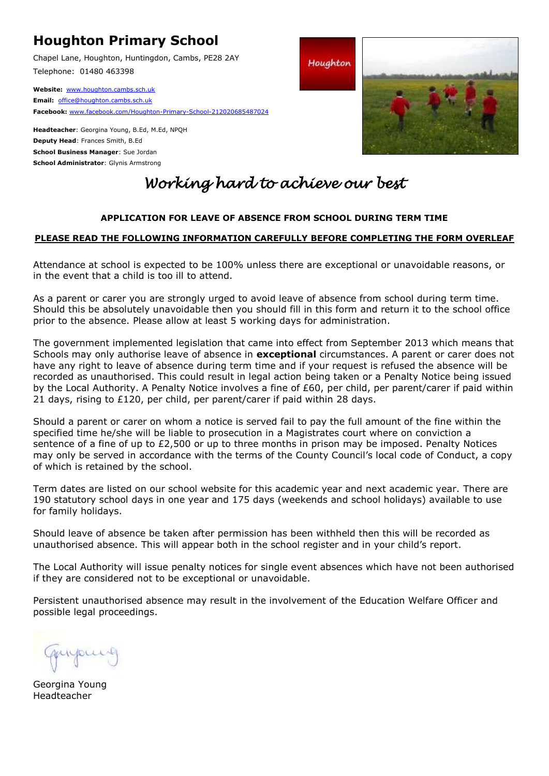# **Houghton Primary School**

Chapel Lane, Houghton, Huntingdon, Cambs, PE28 2AY Telephone: 01480 463398

**Website:** [www.houghton.cambs.sch.uk](http://www.houghton.cambs.sch.uk/) **Email:** [office@houghton.cambs.sch.uk](mailto:office@houghton.cambs.sch.uk)  **Facebook:** [www.facebook.com/Houghton-Primary-School-212020685487024](http://www.facebook.com/Houghton-Primary-School-212020685487024) 

**Headteacher**: Georgina Young, B.Ed, M.Ed, NPQH **Deputy Head**: Frances Smith, B.Ed **School Business Manager**: Sue Jordan **School Administrator**: Glynis Armstrong



# *Working hard to achieve our best*

## **APPLICATION FOR LEAVE OF ABSENCE FROM SCHOOL DURING TERM TIME**

### **PLEASE READ THE FOLLOWING INFORMATION CAREFULLY BEFORE COMPLETING THE FORM OVERLEAF**

Attendance at school is expected to be 100% unless there are exceptional or unavoidable reasons, or in the event that a child is too ill to attend.

As a parent or carer you are strongly urged to avoid leave of absence from school during term time. Should this be absolutely unavoidable then you should fill in this form and return it to the school office prior to the absence. Please allow at least 5 working days for administration.

The government implemented legislation that came into effect from September 2013 which means that Schools may only authorise leave of absence in **exceptional** circumstances. A parent or carer does not have any right to leave of absence during term time and if your request is refused the absence will be recorded as unauthorised. This could result in legal action being taken or a Penalty Notice being issued by the Local Authority. A Penalty Notice involves a fine of £60, per child, per parent/carer if paid within 21 days, rising to  $£120$ , per child, per parent/carer if paid within 28 days.

Should a parent or carer on whom a notice is served fail to pay the full amount of the fine within the specified time he/she will be liable to prosecution in a Magistrates court where on conviction a sentence of a fine of up to £2,500 or up to three months in prison may be imposed. Penalty Notices may only be served in accordance with the terms of the County Council's local code of Conduct, a copy of which is retained by the school.

Term dates are listed on our school website for this academic year and next academic year. There are 190 statutory school days in one year and 175 days (weekends and school holidays) available to use for family holidays.

Should leave of absence be taken after permission has been withheld then this will be recorded as unauthorised absence. This will appear both in the school register and in your child's report.

The Local Authority will issue penalty notices for single event absences which have not been authorised if they are considered not to be exceptional or unavoidable.

Persistent unauthorised absence may result in the involvement of the Education Welfare Officer and possible legal proceedings.

Georgina Young Headteacher